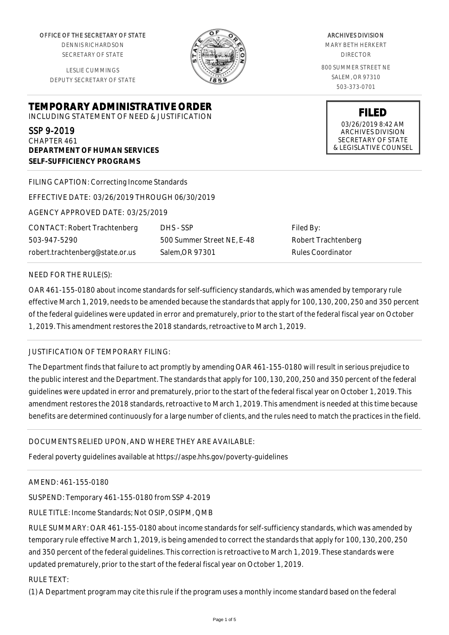OFFICE OF THE SECRETARY OF STATE

DENNIS RICHARDSON SECRETARY OF STATE

LESLIE CUMMINGS DEPUTY SECRETARY OF STATE

**TEMPORARY ADMINISTRATIVE ORDER** INCLUDING STATEMENT OF NEED & JUSTIFICATION

SSP 9-2019

CHAPTER 461 **DEPARTMENT OF HUMAN SERVICES SELF-SUFFICIENCY PROGRAMS**

FILING CAPTION: Correcting Income Standards

EFFECTIVE DATE: 03/26/2019 THROUGH 06/30/2019

AGENCY APPROVED DATE: 03/25/2019

CONTACT: Robert Trachtenberg 503-947-5290 robert.trachtenberg@state.or.us

DHS - SSP 500 Summer Street NE, E-48 Salem,OR 97301

Filed By: Robert Trachtenberg Rules Coordinator

#### NEED FOR THE RULE(S):

OAR 461-155-0180 about income standards for self-sufficiency standards, which was amended by temporary rule effective March 1, 2019, needs to be amended because the standards that apply for 100, 130, 200, 250 and 350 percent of the federal guidelines were updated in error and prematurely, prior to the start of the federal fiscal year on October 1, 2019. This amendment restores the 2018 standards, retroactive to March 1, 2019.

# JUSTIFICATION OF TEMPORARY FILING:

The Department finds that failure to act promptly by amending OAR 461-155-0180 will result in serious prejudice to the public interest and the Department. The standards that apply for 100, 130, 200, 250 and 350 percent of the federal guidelines were updated in error and prematurely, prior to the start of the federal fiscal year on October 1, 2019. This amendment restores the 2018 standards, retroactive to March 1, 2019. This amendment is needed at this time because benefits are determined continuously for a large number of clients, and the rules need to match the practices in the field.

# DOCUMENTS RELIED UPON, AND WHERE THEY ARE AVAILABLE:

Federal poverty guidelines available at https://aspe.hhs.gov/poverty-guidelines

# AMEND: 461-155-0180

SUSPEND: Temporary 461-155-0180 from SSP 4-2019

RULE TITLE: Income Standards; Not OSIP, OSIPM, QMB

RULE SUMMARY: OAR 461-155-0180 about income standards for self-sufficiency standards, which was amended by temporary rule effective March 1, 2019, is being amended to correct the standards that apply for 100, 130, 200, 250 and 350 percent of the federal guidelines. This correction is retroactive to March 1, 2019. These standards were updated prematurely, prior to the start of the federal fiscal year on October 1, 2019.

RULE TEXT:

(1) A Department program may cite this rule if the program uses a monthly income standard based on the federal

ARCHIVES DIVISION MARY BETH HERKERT DIRECTOR 800 SUMMER STREET NE SALEM, OR 97310

503-373-0701

**FILED** 03/26/2019 8:42 AM ARCHIVES DIVISION SECRETARY OF STATE & LEGISLATIVE COUNSEL

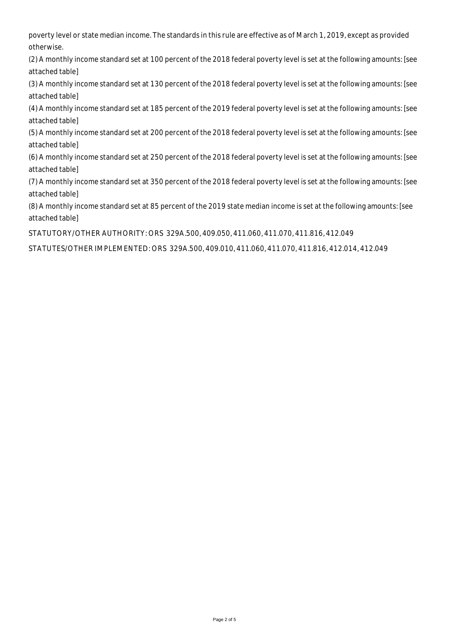poverty level or state median income. The standards in this rule are effective as of March 1, 2019, except as provided otherwise.

(2) A monthly income standard set at 100 percent of the 2018 federal poverty level is set at the following amounts: [see attached table]

(3) A monthly income standard set at 130 percent of the 2018 federal poverty level is set at the following amounts: [see attached table]

(4) A monthly income standard set at 185 percent of the 2019 federal poverty level is set at the following amounts: [see attached table]

(5) A monthly income standard set at 200 percent of the 2018 federal poverty level is set at the following amounts: [see attached table]

(6) A monthly income standard set at 250 percent of the 2018 federal poverty level is set at the following amounts: [see attached table]

(7) A monthly income standard set at 350 percent of the 2018 federal poverty level is set at the following amounts: [see attached table]

(8) A monthly income standard set at 85 percent of the 2019 state median income is set at the following amounts: [see attached table]

STATUTORY/OTHER AUTHORITY: ORS 329A.500, 409.050, 411.060, 411.070, 411.816, 412.049

STATUTES/OTHER IMPLEMENTED: ORS 329A.500, 409.010, 411.060, 411.070, 411.816, 412.014, 412.049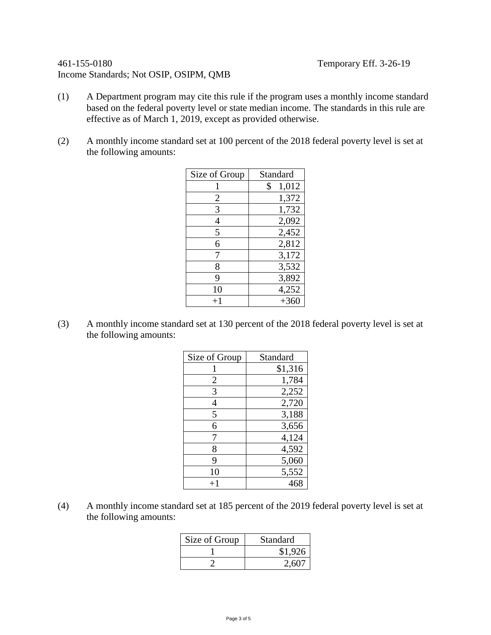# 461-155-0180 Temporary Eff. 3-26-19 Income Standards; Not OSIP, OSIPM, QMB

- (1) A Department program may cite this rule if the program uses a monthly income standard based on the federal poverty level or state median income. The standards in this rule are effective as of March 1, 2019, except as provided otherwise.
- (2) A monthly income standard set at 100 percent of the 2018 federal poverty level is set at the following amounts:

| Size of Group | Standard    |
|---------------|-------------|
|               | \$<br>1,012 |
| 2             | 1,372       |
| 3             | 1,732       |
| 4             | 2,092       |
| 5             | 2,452       |
| 6             | 2,812       |
| 7             | 3,172       |
| 8             | 3,532       |
| 9             | 3,892       |
| 10            | 4,252       |
| $+1$          | $+360$      |

(3) A monthly income standard set at 130 percent of the 2018 federal poverty level is set at the following amounts:

| Size of Group | Standard |
|---------------|----------|
|               | \$1,316  |
| 2             | 1,784    |
| 3             | 2,252    |
| 4             | 2,720    |
| 5             | 3,188    |
| 6             | 3,656    |
| 7             | 4,124    |
| 8             | 4,592    |
| 9             | 5,060    |
| 10            | 5,552    |
| $^{+1}$       | 468      |

(4) A monthly income standard set at 185 percent of the 2019 federal poverty level is set at the following amounts:

| Size of Group | Standard |
|---------------|----------|
|               | \$1,926  |
|               | 2,607    |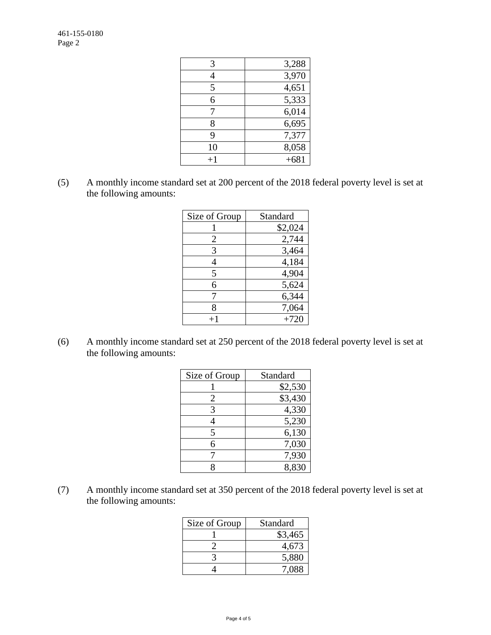| 3,288  |
|--------|
| 3,970  |
| 4,651  |
| 5,333  |
| 6,014  |
| 6,695  |
| 7,377  |
| 8,058  |
| $+681$ |
|        |

(5) A monthly income standard set at 200 percent of the 2018 federal poverty level is set at the following amounts:

| Size of Group | Standard |
|---------------|----------|
|               | \$2,024  |
| 2             | 2,744    |
| 3             | 3,464    |
| 4             | 4,184    |
| 5             | 4,904    |
| 6             | 5,624    |
|               | 6,344    |
| 8             | 7,064    |
|               | $+720$   |

(6) A monthly income standard set at 250 percent of the 2018 federal poverty level is set at the following amounts:

| Size of Group | Standard |
|---------------|----------|
|               | \$2,530  |
| 2             | \$3,430  |
| 3             | 4,330    |
| 4             | 5,230    |
| 5             | 6,130    |
| 6             | 7,030    |
|               | 7,930    |
|               | 8,830    |

(7) A monthly income standard set at 350 percent of the 2018 federal poverty level is set at the following amounts:

| Size of Group | Standard |
|---------------|----------|
|               | \$3,465  |
|               | 4,673    |
|               | 5,880    |
|               | 7 088    |